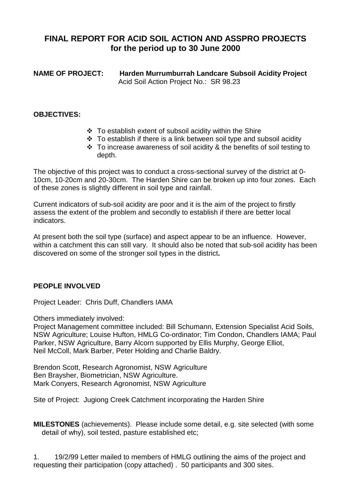## **FINAL REPORT FOR ACID SOIL ACTION AND ASSPRO PROJECTS for the period up to 30 June 2000**

**NAME OF PROJECT: Harden Murrumburrah Landcare Subsoil Acidity Project** Acid Soil Action Project No.: SR 98.23

#### **OBJECTIVES:**

- $\div$  To establish extent of subsoil acidity within the Shire
- $\cdot$  To establish if there is a link between soil type and subsoil acidity
- $\cdot$  To increase awareness of soil acidity & the benefits of soil testing to depth.

The objective of this project was to conduct a cross-sectional survey of the district at 0- 10cm, 10-20cm and 20-30cm. The Harden Shire can be broken up into four zones. Each of these zones is slightly different in soil type and rainfall.

Current indicators of sub-soil acidity are poor and it is the aim of the project to firstly assess the extent of the problem and secondly to establish if there are better local indicators.

At present both the soil type (surface) and aspect appear to be an influence. However, within a catchment this can still vary. It should also be noted that sub-soil acidity has been discovered on some of the stronger soil types in the district**.**

#### **PEOPLE INVOLVED**

Project Leader: Chris Duff, Chandlers IAMA

Others immediately involved:

Project Management committee included: Bill Schumann, Extension Specialist Acid Soils, NSW Agriculture; Louise Hufton, HMLG Co-ordinator; Tim Condon, Chandlers IAMA; Paul Parker, NSW Agriculture, Barry Alcorn supported by Ellis Murphy, George Elliot, Neil McColl, Mark Barber, Peter Holding and Charlie Baldry.

Brendon Scott, Research Agronomist, NSW Agriculture Ben Braysher, Biometrician, NSW Agriculture. Mark Conyers, Research Agronomist, NSW Agriculture

Site of Project: Jugiong Creek Catchment incorporating the Harden Shire

**MILESTONES** (achievements). Please include some detail, e.g. site selected (with some detail of why), soil tested, pasture established etc;

1. 19/2/99 Letter mailed to members of HMLG outlining the aims of the project and requesting their participation (copy attached) . 50 participants and 300 sites.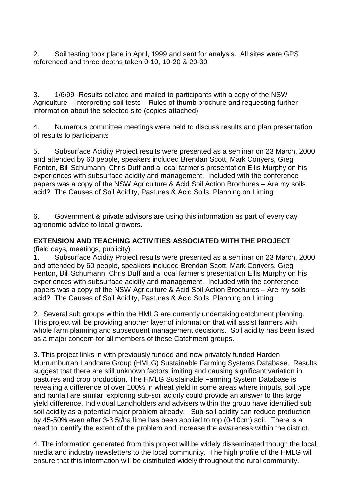2. Soil testing took place in April, 1999 and sent for analysis. All sites were GPS referenced and three depths taken 0-10, 10-20 & 20-30

3. 1/6/99 -Results collated and mailed to participants with a copy of the NSW Agriculture – Interpreting soil tests – Rules of thumb brochure and requesting further information about the selected site (copies attached)

4. Numerous committee meetings were held to discuss results and plan presentation of results to participants

5. Subsurface Acidity Project results were presented as a seminar on 23 March, 2000 and attended by 60 people, speakers included Brendan Scott, Mark Conyers, Greg Fenton, Bill Schumann, Chris Duff and a local farmer's presentation Ellis Murphy on his experiences with subsurface acidity and management. Included with the conference papers was a copy of the NSW Agriculture & Acid Soil Action Brochures – Are my soils acid? The Causes of Soil Acidity, Pastures & Acid Soils, Planning on Liming

6. Government & private advisors are using this information as part of every day agronomic advice to local growers.

## **EXTENSION AND TEACHING ACTIVITIES ASSOCIATED WITH THE PROJECT**

(field days, meetings, publicity)

1. Subsurface Acidity Project results were presented as a seminar on 23 March, 2000 and attended by 60 people, speakers included Brendan Scott, Mark Conyers, Greg Fenton, Bill Schumann, Chris Duff and a local farmer's presentation Ellis Murphy on his experiences with subsurface acidity and management. Included with the conference papers was a copy of the NSW Agriculture & Acid Soil Action Brochures – Are my soils acid? The Causes of Soil Acidity, Pastures & Acid Soils, Planning on Liming

2. Several sub groups within the HMLG are currently undertaking catchment planning. This project will be providing another layer of information that will assist farmers with whole farm planning and subsequent management decisions. Soil acidity has been listed as a major concern for all members of these Catchment groups.

3. This project links in with previously funded and now privately funded Harden Murrumburrah Landcare Group (HMLG) Sustainable Farming Systems Database. Results suggest that there are still unknown factors limiting and causing significant variation in pastures and crop production. The HMLG Sustainable Farming System Database is revealing a difference of over 100% in wheat yield in some areas where imputs, soil type and rainfall are similar, exploring sub-soil acidity could provide an answer to this large yield difference. Individual Landholders and advisers within the group have identified sub soil acidity as a potential major problem already. Sub-soil acidity can reduce production by 45-50% even after 3-3.5t/ha lime has been applied to top (0-10cm) soil. There is a need to identify the extent of the problem and increase the awareness within the district.

4. The information generated from this project will be widely disseminated though the local media and industry newsletters to the local community. The high profile of the HMLG will ensure that this information will be distributed widely throughout the rural community.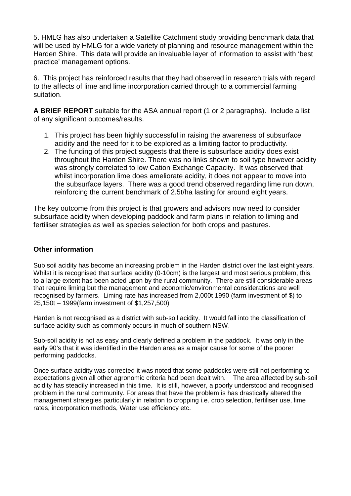5. HMLG has also undertaken a Satellite Catchment study providing benchmark data that will be used by HMLG for a wide variety of planning and resource management within the Harden Shire. This data will provide an invaluable layer of information to assist with 'best practice' management options.

6. This project has reinforced results that they had observed in research trials with regard to the affects of lime and lime incorporation carried through to a commercial farming suitation.

**A BRIEF REPORT** suitable for the ASA annual report (1 or 2 paragraphs). Include a list of any significant outcomes/results.

- 1. This project has been highly successful in raising the awareness of subsurface acidity and the need for it to be explored as a limiting factor to productivity.
- 2. The funding of this project suggests that there is subsurface acidity does exist throughout the Harden Shire. There was no links shown to soil type however acidity was strongly correlated to low Cation Exchange Capacity. It was observed that whilst incorporation lime does ameliorate acidity, it does not appear to move into the subsurface layers. There was a good trend observed regarding lime run down, reinforcing the current benchmark of 2.5t/ha lasting for around eight years.

The key outcome from this project is that growers and advisors now need to consider subsurface acidity when developing paddock and farm plans in relation to liming and fertiliser strategies as well as species selection for both crops and pastures.

### **Other information**

Sub soil acidity has become an increasing problem in the Harden district over the last eight years. Whilst it is recognised that surface acidity (0-10cm) is the largest and most serious problem, this, to a large extent has been acted upon by the rural community. There are still considerable areas that require liming but the management and economic/environmental considerations are well recognised by farmers. Liming rate has increased from 2,000t 1990 (farm investment of \$) to 25,150t – 1999(farm investment of \$1,257,500)

Harden is not recognised as a district with sub-soil acidity. It would fall into the classification of surface acidity such as commonly occurs in much of southern NSW.

Sub-soil acidity is not as easy and clearly defined a problem in the paddock. It was only in the early 90's that it was identified in the Harden area as a major cause for some of the poorer performing paddocks.

Once surface acidity was corrected it was noted that some paddocks were still not performing to expectations given all other agronomic criteria had been dealt with. The area affected by sub-soil acidity has steadily increased in this time. It is still, however, a poorly understood and recognised problem in the rural community. For areas that have the problem is has drastically altered the management strategies particularly in relation to cropping i.e. crop selection, fertiliser use, lime rates, incorporation methods, Water use efficiency etc.